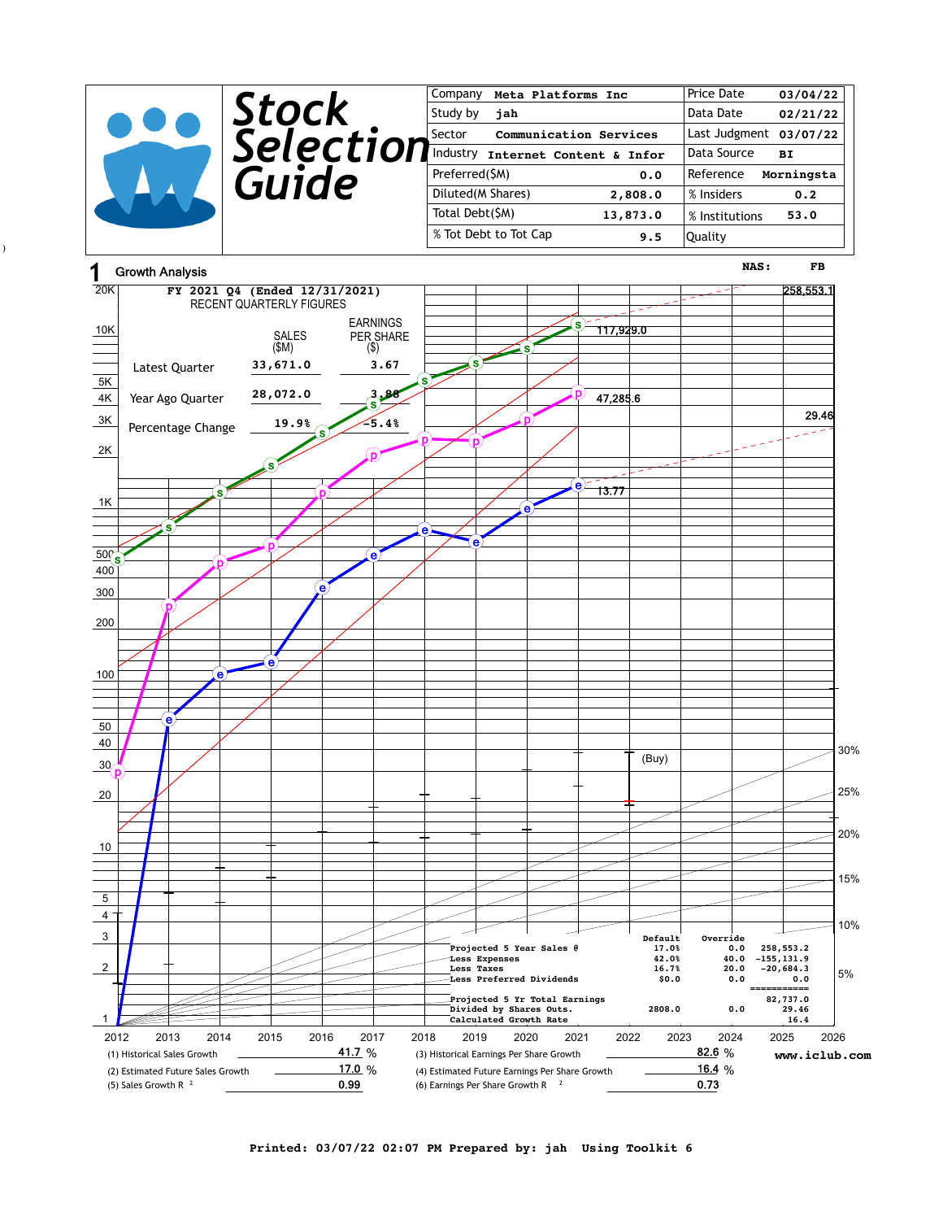|  |              | Company<br>Meta Platforms Inc      | Price Date<br>03/04/22   |
|--|--------------|------------------------------------|--------------------------|
|  | <b>Stock</b> | Study by<br>jah                    | Data Date<br>02/21/22    |
|  | Selection    | Communication Services<br>l Sector | Last Judgment 03/07/22   |
|  |              | Industry Internet Content & Infor  | Data Source<br><b>BI</b> |
|  | Guide        | Preferred(\$M)<br>0.0              | Reference<br>Morningsta  |
|  |              | Diluted (M Shares)<br>2,808.0      | % Insiders<br>0.2        |
|  |              | Total Debt(\$M)<br>13,873.0        | 53.0<br>% Institutions   |
|  |              | % Tot Debt to Tot Cap<br>9.5       | Quality                  |
|  |              |                                    |                          |